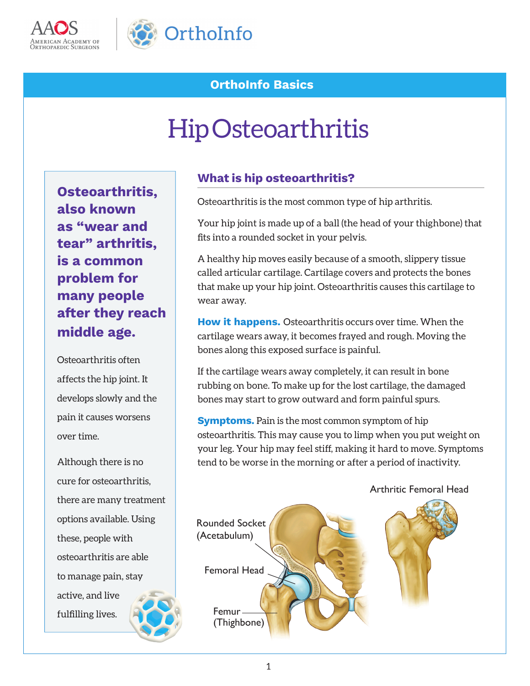



## **OrthoInfo Basics**

# Hip Osteoarthritis

**Osteoarthritis, also known as "wear and tear" arthritis, is a common problem for many people after they reach middle age.**

Osteoarthritis often affects the hip joint. It develops slowly and the pain it causes worsens over time.

Although there is no cure for osteoarthritis, there are many treatment options available. Using these, people with osteoarthritis are able to manage pain, stay active, and live fulfilling lives.

#### **What is hip osteoarthritis?**

Osteoarthritis is the most common type of hip arthritis.

Your hip joint is made up of a ball (the head of your thighbone) that fits into a rounded socket in your pelvis.

A healthy hip moves easily because of a smooth, slippery tissue called articular cartilage. Cartilage covers and protects the bones that make up your hip joint. Osteoarthritis causes this cartilage to wear away.

**How it happens.** Osteoarthritis occurs over time. When the cartilage wears away, it becomes frayed and rough. Moving the bones along this exposed surface is painful.

If the cartilage wears away completely, it can result in bone rubbing on bone. To make up for the lost cartilage, the damaged bones may start to grow outward and form painful spurs.

**Symptoms.** Pain is the most common symptom of hip osteoarthritis. This may cause you to limp when you put weight on your leg. Your hip may feel stiff, making it hard to move. Symptoms tend to be worse in the morning or after a period of inactivity.



Arthritic Femoral Head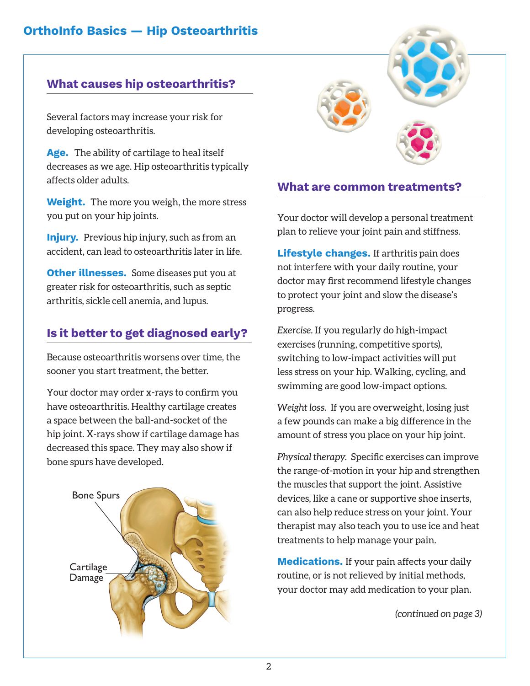#### **What causes hip osteoarthritis?**

Several factors may increase your risk for developing osteoarthritis.

**Age.** The ability of cartilage to heal itself decreases as we age. Hip osteoarthritis typically affects older adults.

**Weight.** The more you weigh, the more stress you put on your hip joints.

**Injury.** Previous hip injury, such as from an accident, can lead to osteoarthritis later in life.

**Other illnesses.** Some diseases put you at greater risk for osteoarthritis, such as septic arthritis, sickle cell anemia, and lupus.

## **Is it better to get diagnosed early?**

Because osteoarthritis worsens over time, the sooner you start treatment, the better.

Your doctor may order x-rays to confirm you have osteoarthritis. Healthy cartilage creates a space between the ball-and-socket of the hip joint. X-rays show if cartilage damage has decreased this space. They may also show if bone spurs have developed.





#### **What are common treatments?**

Your doctor will develop a personal treatment plan to relieve your joint pain and stiffness.

**Lifestyle changes.** If arthritis pain does not interfere with your daily routine, your doctor may first recommend lifestyle changes to protect your joint and slow the disease's progress.

*Exercise.* If you regularly do high-impact exercises (running, competitive sports), switching to low-impact activities will put less stress on your hip. Walking, cycling, and swimming are good low-impact options.

*Weight loss.* If you are overweight, losing just a few pounds can make a big difference in the amount of stress you place on your hip joint.

*Physical therapy.* Specific exercises can improve the range-of-motion in your hip and strengthen the muscles that support the joint. Assistive devices, like a cane or supportive shoe inserts, can also help reduce stress on your joint. Your therapist may also teach you to use ice and heat treatments to help manage your pain.

**Medications.** If your pain affects your daily routine, or is not relieved by initial methods, your doctor may add medication to your plan.

*(continued on page 3)*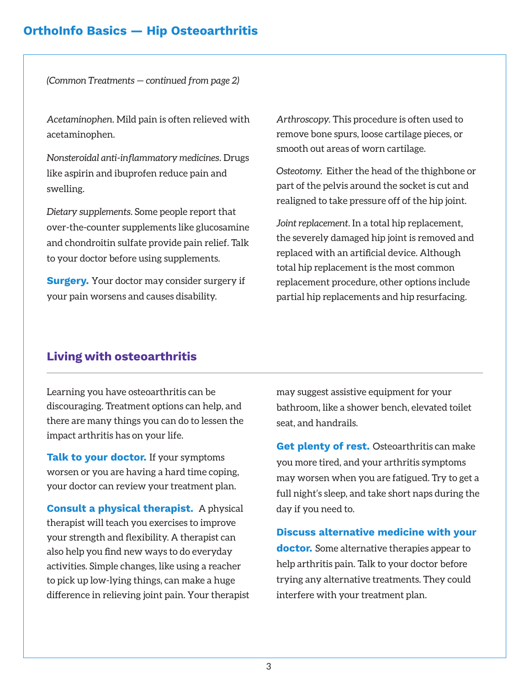#### **OrthoInfo Basics — Hip Osteoarthritis**

*(Common Treatments — continued from page 2)*

*Acetaminophen.* Mild pain is often relieved with acetaminophen.

*Nonsteroidal anti-inflammatory medicines.* Drugs like aspirin and ibuprofen reduce pain and swelling.

*Dietary supplements.* Some people report that over-the-counter supplements like glucosamine and chondroitin sulfate provide pain relief. Talk to your doctor before using supplements.

**Surgery.** Your doctor may consider surgery if your pain worsens and causes disability.

*Arthroscopy.* This procedure is often used to remove bone spurs, loose cartilage pieces, or smooth out areas of worn cartilage.

*Osteotomy.* Either the head of the thighbone or part of the pelvis around the socket is cut and realigned to take pressure off of the hip joint.

*Joint replacement.* In a total hip replacement, the severely damaged hip joint is removed and replaced with an artificial device. Although total hip replacement is the most common replacement procedure, other options include partial hip replacements and hip resurfacing.

#### **Living with osteoarthritis**

Learning you have osteoarthritis can be discouraging. Treatment options can help, and there are many things you can do to lessen the impact arthritis has on your life.

**Talk to your doctor.** If your symptoms worsen or you are having a hard time coping, your doctor can review your treatment plan.

**Consult a physical therapist.** A physical therapist will teach you exercises to improve your strength and flexibility. A therapist can also help you find new ways to do everyday activities. Simple changes, like using a reacher to pick up low-lying things, can make a huge difference in relieving joint pain. Your therapist may suggest assistive equipment for your bathroom, like a shower bench, elevated toilet seat, and handrails.

**Get plenty of rest.** Osteoarthritis can make you more tired, and your arthritis symptoms may worsen when you are fatigued. Try to get a full night's sleep, and take short naps during the day if you need to.

**Discuss alternative medicine with your doctor.** Some alternative therapies appear to help arthritis pain. Talk to your doctor before trying any alternative treatments. They could interfere with your treatment plan.